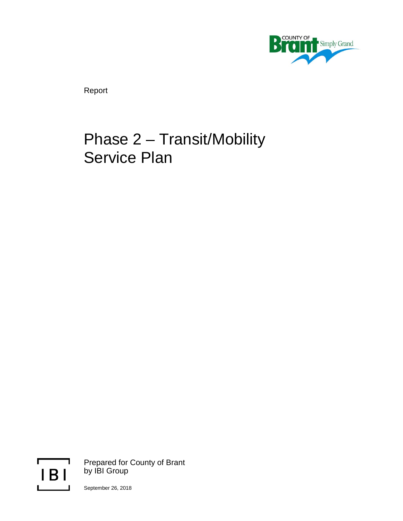

Report

# Phase 2 – Transit/Mobility Service Plan



Prepared for County of Brant by IBI Group

September 26, 2018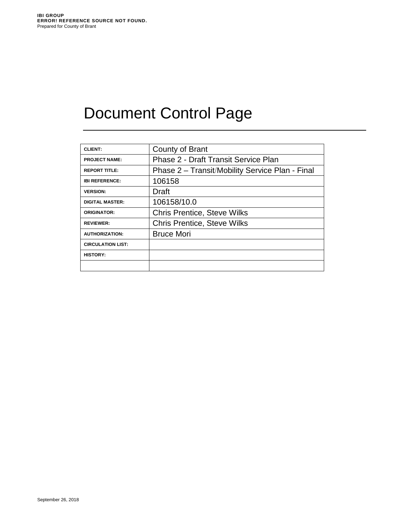# Document Control Page

| <b>CLIENT:</b>           | County of Brant                                 |
|--------------------------|-------------------------------------------------|
| <b>PROJECT NAME:</b>     | <b>Phase 2 - Draft Transit Service Plan</b>     |
| <b>REPORT TITLE:</b>     | Phase 2 - Transit/Mobility Service Plan - Final |
| <b>IBI REFERENCE:</b>    | 106158                                          |
| <b>VERSION:</b>          | <b>Draft</b>                                    |
| <b>DIGITAL MASTER:</b>   | 106158/10.0                                     |
| <b>ORIGINATOR:</b>       | <b>Chris Prentice, Steve Wilks</b>              |
| <b>REVIEWER:</b>         | <b>Chris Prentice, Steve Wilks</b>              |
| <b>AUTHORIZATION:</b>    | <b>Bruce Mori</b>                               |
| <b>CIRCULATION LIST:</b> |                                                 |
| <b>HISTORY:</b>          |                                                 |
|                          |                                                 |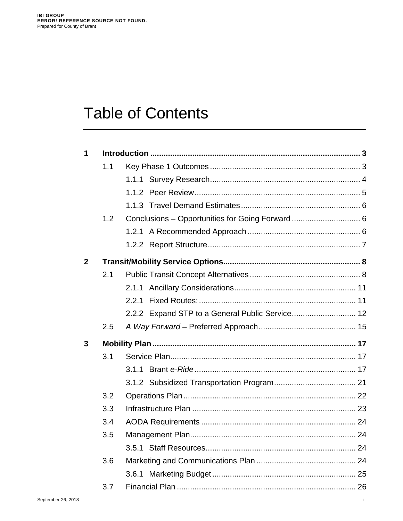# **Table of Contents**

| 1            |     |                                                 |  |
|--------------|-----|-------------------------------------------------|--|
|              | 1.1 |                                                 |  |
|              |     |                                                 |  |
|              |     |                                                 |  |
|              |     |                                                 |  |
|              | 1.2 |                                                 |  |
|              |     |                                                 |  |
|              |     |                                                 |  |
| $\mathbf{2}$ |     |                                                 |  |
|              | 2.1 |                                                 |  |
|              |     |                                                 |  |
|              |     | 2.2.1                                           |  |
|              |     | 2.2.2 Expand STP to a General Public Service 12 |  |
|              | 2.5 |                                                 |  |
| 3            |     |                                                 |  |
|              | 3.1 |                                                 |  |
|              |     |                                                 |  |
|              |     |                                                 |  |
|              | 3.2 |                                                 |  |
|              |     |                                                 |  |
|              | 3.3 |                                                 |  |
|              | 3.4 |                                                 |  |
|              | 3.5 |                                                 |  |
|              |     |                                                 |  |
|              | 3.6 |                                                 |  |
|              |     |                                                 |  |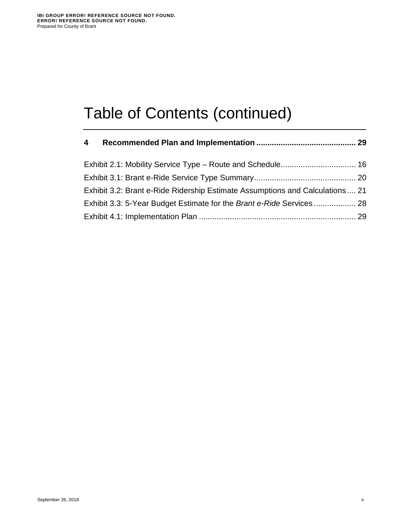# Table of Contents (continued)

| $\overline{\mathbf{4}}$ |                                                                               |  |
|-------------------------|-------------------------------------------------------------------------------|--|
|                         |                                                                               |  |
|                         |                                                                               |  |
|                         | Exhibit 3.2: Brant e-Ride Ridership Estimate Assumptions and Calculations  21 |  |
|                         |                                                                               |  |
|                         |                                                                               |  |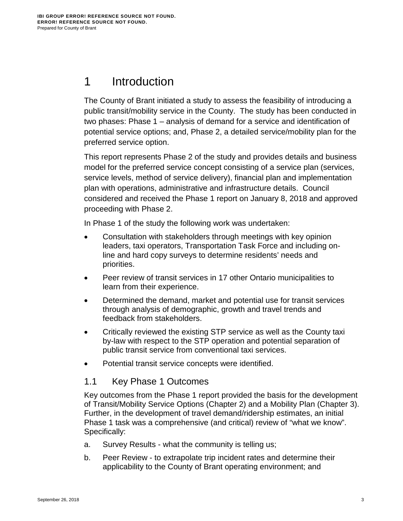# <span id="page-4-0"></span>1 Introduction

The County of Brant initiated a study to assess the feasibility of introducing a public transit/mobility service in the County. The study has been conducted in two phases: Phase 1 – analysis of demand for a service and identification of potential service options; and, Phase 2, a detailed service/mobility plan for the preferred service option.

This report represents Phase 2 of the study and provides details and business model for the preferred service concept consisting of a service plan (services, service levels, method of service delivery), financial plan and implementation plan with operations, administrative and infrastructure details. Council considered and received the Phase 1 report on January 8, 2018 and approved proceeding with Phase 2.

In Phase 1 of the study the following work was undertaken:

- Consultation with stakeholders through meetings with key opinion leaders, taxi operators, Transportation Task Force and including online and hard copy surveys to determine residents' needs and priorities.
- Peer review of transit services in 17 other Ontario municipalities to learn from their experience.
- Determined the demand, market and potential use for transit services through analysis of demographic, growth and travel trends and feedback from stakeholders.
- Critically reviewed the existing STP service as well as the County taxi by-law with respect to the STP operation and potential separation of public transit service from conventional taxi services.
- Potential transit service concepts were identified.

# <span id="page-4-1"></span>1.1 Key Phase 1 Outcomes

Key outcomes from the Phase 1 report provided the basis for the development of Transit/Mobility Service Options (Chapter 2) and a Mobility Plan (Chapter 3). Further, in the development of travel demand/ridership estimates, an initial Phase 1 task was a comprehensive (and critical) review of "what we know". Specifically:

- a. Survey Results what the community is telling us;
- b. Peer Review to extrapolate trip incident rates and determine their applicability to the County of Brant operating environment; and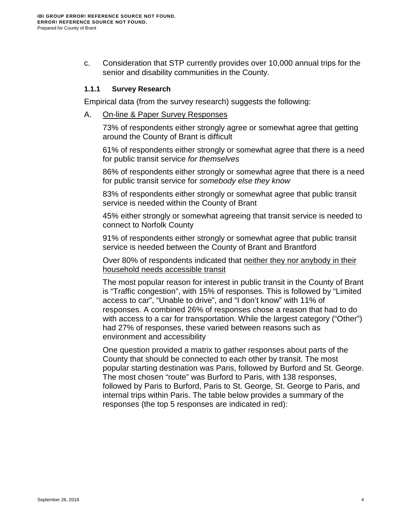c. Consideration that STP currently provides over 10,000 annual trips for the senior and disability communities in the County.

#### <span id="page-5-0"></span>**1.1.1 Survey Research**

Empirical data (from the survey research) suggests the following:

A. On-line & Paper Survey Responses

73% of respondents either strongly agree or somewhat agree that getting around the County of Brant is difficult

61% of respondents either strongly or somewhat agree that there is a need for public transit service *for themselves*

86% of respondents either strongly or somewhat agree that there is a need for public transit service for *somebody else they know*

83% of respondents either strongly or somewhat agree that public transit service is needed within the County of Brant

45% either strongly or somewhat agreeing that transit service is needed to connect to Norfolk County

91% of respondents either strongly or somewhat agree that public transit service is needed between the County of Brant and Brantford

Over 80% of respondents indicated that neither they nor anybody in their household needs accessible transit

The most popular reason for interest in public transit in the County of Brant is "Traffic congestion", with 15% of responses. This is followed by "Limited access to car", "Unable to drive", and "I don't know" with 11% of responses. A combined 26% of responses chose a reason that had to do with access to a car for transportation. While the largest category ("Other") had 27% of responses, these varied between reasons such as environment and accessibility

One question provided a matrix to gather responses about parts of the County that should be connected to each other by transit. The most popular starting destination was Paris, followed by Burford and St. George. The most chosen "route" was Burford to Paris, with 138 responses, followed by Paris to Burford, Paris to St. George, St. George to Paris, and internal trips within Paris. The table below provides a summary of the responses (the top 5 responses are indicated in red):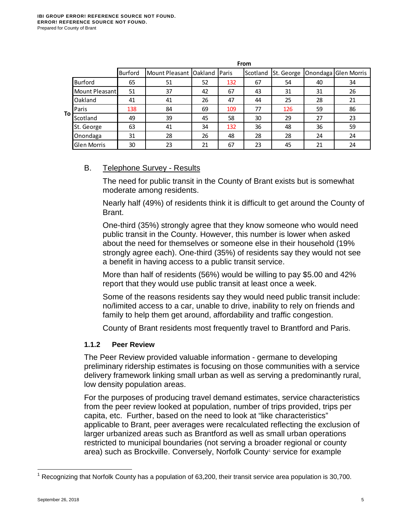|    |                    | From           |                                  |    |     |          |            |    |                      |
|----|--------------------|----------------|----------------------------------|----|-----|----------|------------|----|----------------------|
|    |                    | <b>Burford</b> | Mount Pleasant   Oakland   Paris |    |     | Scotland | St. George |    | Onondaga Glen Morris |
|    | <b>Burford</b>     | 65             | 51                               | 52 | 132 | 67       | 54         | 40 | 34                   |
|    | Mount Pleasant     | 51             | 37                               | 42 | 67  | 43       | 31         | 31 | 26                   |
|    | Oakland            | 41             | 41                               | 26 | 47  | 44       | 25         | 28 | 21                   |
|    | Paris              | 138            | 84                               | 69 | 109 | 77       | 126        | 59 | 86                   |
| To | Scotland           | 49             | 39                               | 45 | 58  | 30       | 29         | 27 | 23                   |
|    | St. George         | 63             | 41                               | 34 | 132 | 36       | 48         | 36 | 59                   |
|    | Onondaga           | 31             | 28                               | 26 | 48  | 28       | 28         | 24 | 24                   |
|    | <b>Glen Morris</b> | 30             | 23                               | 21 | 67  | 23       | 45         | 21 | 24                   |

#### B. Telephone Survey - Results

The need for public transit in the County of Brant exists but is somewhat moderate among residents.

Nearly half (49%) of residents think it is difficult to get around the County of Brant.

One-third (35%) strongly agree that they know someone who would need public transit in the County. However, this number is lower when asked about the need for themselves or someone else in their household (19% strongly agree each). One-third (35%) of residents say they would not see a benefit in having access to a public transit service.

More than half of residents (56%) would be willing to pay \$5.00 and 42% report that they would use public transit at least once a week.

Some of the reasons residents say they would need public transit include: no/limited access to a car, unable to drive, inability to rely on friends and family to help them get around, affordability and traffic congestion.

County of Brant residents most frequently travel to Brantford and Paris.

#### <span id="page-6-0"></span>**1.1.2 Peer Review**

The Peer Review provided valuable information - germane to developing preliminary ridership estimates is focusing on those communities with a service delivery framework linking small urban as well as serving a predominantly rural, low density population areas.

For the purposes of producing travel demand estimates, service characteristics from the peer review looked at population, number of trips provided, trips per capita, etc. Further, based on the need to look at "like characteristics" applicable to Brant, peer averages were recalculated reflecting the exclusion of larger urbanized areas such as Brantford as well as small urban operations restricted to municipal boundaries (not serving a broader regional or county area) such as Brockville. Conversely, Norfolk County<sup>1</sup> service for example

<span id="page-6-1"></span> $\overline{\phantom{a}}$  $1$  Recognizing that Norfolk County has a population of 63,200, their transit service area population is 30,700.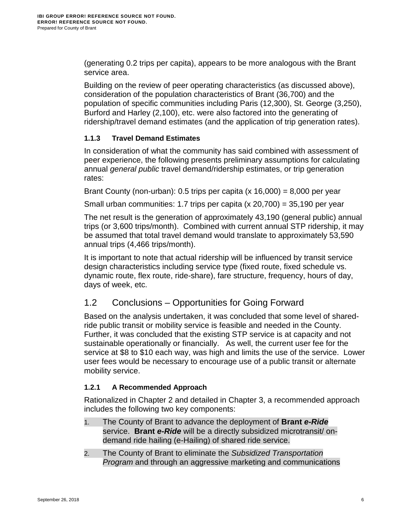(generating 0.2 trips per capita), appears to be more analogous with the Brant service area.

Building on the review of peer operating characteristics (as discussed above), consideration of the population characteristics of Brant (36,700) and the population of specific communities including Paris (12,300), St. George (3,250), Burford and Harley (2,100), etc. were also factored into the generating of ridership/travel demand estimates (and the application of trip generation rates).

## <span id="page-7-0"></span>**1.1.3 Travel Demand Estimates**

In consideration of what the community has said combined with assessment of peer experience, the following presents preliminary assumptions for calculating annual *general public* travel demand/ridership estimates, or trip generation rates:

Brant County (non-urban): 0.5 trips per capita (x 16,000) = 8,000 per year

Small urban communities: 1.7 trips per capita  $(x 20.700) = 35.190$  per year

The net result is the generation of approximately 43,190 (general public) annual trips (or 3,600 trips/month). Combined with current annual STP ridership, it may be assumed that total travel demand would translate to approximately 53,590 annual trips (4,466 trips/month).

It is important to note that actual ridership will be influenced by transit service design characteristics including service type (fixed route, fixed schedule vs. dynamic route, flex route, ride-share), fare structure, frequency, hours of day, days of week, etc.

# <span id="page-7-1"></span>1.2 Conclusions – Opportunities for Going Forward

Based on the analysis undertaken, it was concluded that some level of sharedride public transit or mobility service is feasible and needed in the County. Further, it was concluded that the existing STP service is at capacity and not sustainable operationally or financially. As well, the current user fee for the service at \$8 to \$10 each way, was high and limits the use of the service. Lower user fees would be necessary to encourage use of a public transit or alternate mobility service.

# <span id="page-7-2"></span>**1.2.1 A Recommended Approach**

Rationalized in Chapter 2 and detailed in Chapter 3, a recommended approach includes the following two key components:

- 1. The County of Brant to advance the deployment of **Brant** *e-Ride* service. **Brant** *e-Ride* will be a directly subsidized microtransit/ ondemand ride hailing (e-Hailing) of shared ride service.
- 2. The County of Brant to eliminate the *Subsidized Transportation Program* and through an aggressive marketing and communications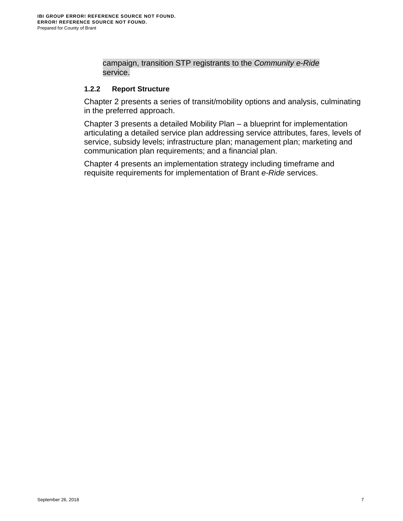campaign, transition STP registrants to the *Community e-Ride* service.

#### <span id="page-8-0"></span>**1.2.2 Report Structure**

Chapter 2 presents a series of transit/mobility options and analysis, culminating in the preferred approach.

Chapter 3 presents a detailed Mobility Plan – a blueprint for implementation articulating a detailed service plan addressing service attributes, fares, levels of service, subsidy levels; infrastructure plan; management plan; marketing and communication plan requirements; and a financial plan.

Chapter 4 presents an implementation strategy including timeframe and requisite requirements for implementation of Brant *e-Ride* services.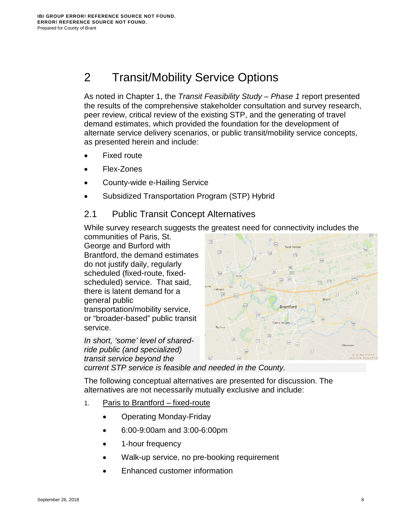# <span id="page-9-0"></span>2 Transit/Mobility Service Options

As noted in Chapter 1, the *Transit Feasibility Study – Phase 1* report presented the results of the comprehensive stakeholder consultation and survey research, peer review, critical review of the existing STP, and the generating of travel demand estimates, which provided the foundation for the development of alternate service delivery scenarios, or public transit/mobility service concepts, as presented herein and include:

- **Fixed route**
- Flex-Zones
- County-wide e-Hailing Service
- Subsidized Transportation Program (STP) Hybrid

# <span id="page-9-1"></span>2.1 Public Transit Concept Alternatives

While survey research suggests the greatest need for connectivity includes the

communities of Paris, St. George and Burford with Brantford, the demand estimates do not justify daily, regularly scheduled (fixed-route, fixedscheduled) service. That said, there is latent demand for a general public transportation/mobility service, or "broader-based" public transit service.

*In short, 'some' level of sharedride public (and specialized) transit service beyond the* 



*current STP service is feasible and needed in the County.*

The following conceptual alternatives are presented for discussion. The alternatives are not necessarily mutually exclusive and include:

- 1. Paris to Brantford fixed-route
	- Operating Monday-Friday
	- 6:00-9:00am and 3:00-6:00pm
	- 1-hour frequency
	- Walk-up service, no pre-booking requirement
	- Enhanced customer information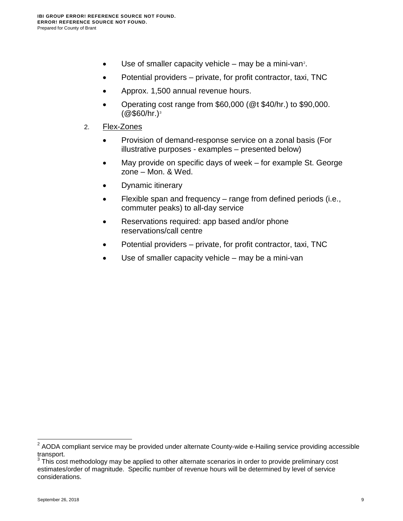- $\bullet$  Use of smaller capacity vehicle may be a mini-van<sup>[2](#page-10-0)</sup>.
- Potential providers private, for profit contractor, taxi, TNC
- Approx. 1,500 annual revenue hours.
- Operating cost range from \$60,000 (@t \$40/hr.) to \$90,000.  $(Q$ \$60/hr.)<sup>[3](#page-10-1)</sup>
- 2. Flex-Zones
	- Provision of demand-response service on a zonal basis (For illustrative purposes - examples – presented below)
	- May provide on specific days of week for example St. George zone – Mon. & Wed.
	- Dynamic itinerary
	- Flexible span and frequency range from defined periods (i.e., commuter peaks) to all-day service
	- Reservations required: app based and/or phone reservations/call centre
	- Potential providers private, for profit contractor, taxi, TNC
	- Use of smaller capacity vehicle may be a mini-van

 $\overline{a}$ 

<span id="page-10-0"></span> $2$  AODA compliant service may be provided under alternate County-wide e-Hailing service providing accessible transport.

<span id="page-10-1"></span> $3$  This cost methodology may be applied to other alternate scenarios in order to provide preliminary cost estimates/order of magnitude. Specific number of revenue hours will be determined by level of service considerations.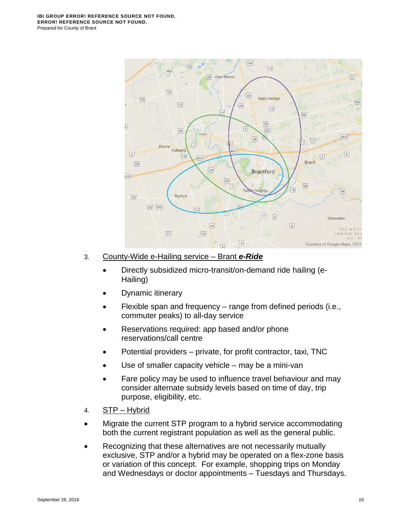

#### 3. County-Wide e-Hailing service – Brant *e-Ride*

- Directly subsidized micro-transit/on-demand ride hailing (e-Hailing)
- Dynamic itinerary
- Flexible span and frequency range from defined periods (i.e., commuter peaks) to all-day service
- Reservations required: app based and/or phone reservations/call centre
- Potential providers private, for profit contractor, taxi, TNC
- Use of smaller capacity vehicle  $-$  may be a mini-van
- Fare policy may be used to influence travel behaviour and may consider alternate subsidy levels based on time of day, trip purpose, eligibility, etc.
- 4. STP Hybrid
- Migrate the current STP program to a hybrid service accommodating both the current registrant population as well as the general public.
- Recognizing that these alternatives are not necessarily mutually exclusive, STP and/or a hybrid may be operated on a flex-zone basis or variation of this concept. For example, shopping trips on Monday and Wednesdays or doctor appointments – Tuesdays and Thursdays.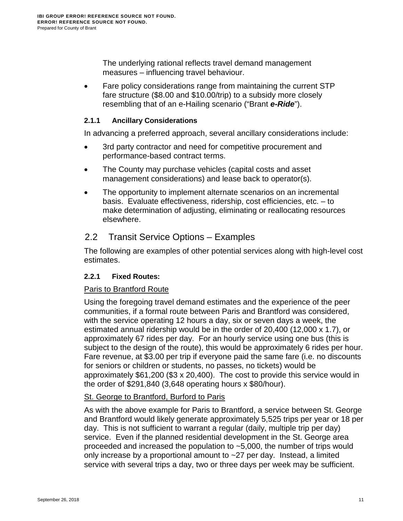The underlying rational reflects travel demand management measures – influencing travel behaviour.

• Fare policy considerations range from maintaining the current STP fare structure (\$8.00 and \$10.00/trip) to a subsidy more closely resembling that of an e-Hailing scenario ("Brant *e-Ride*").

#### <span id="page-12-0"></span>**2.1.1 Ancillary Considerations**

In advancing a preferred approach, several ancillary considerations include:

- 3rd party contractor and need for competitive procurement and performance-based contract terms.
- The County may purchase vehicles (capital costs and asset management considerations) and lease back to operator(s).
- The opportunity to implement alternate scenarios on an incremental basis. Evaluate effectiveness, ridership, cost efficiencies, etc. – to make determination of adjusting, eliminating or reallocating resources elsewhere.

## 2.2 Transit Service Options – Examples

The following are examples of other potential services along with high-level cost estimates.

#### <span id="page-12-1"></span>**2.2.1 Fixed Routes:**

#### **Paris to Brantford Route**

Using the foregoing travel demand estimates and the experience of the peer communities, if a formal route between Paris and Brantford was considered, with the service operating 12 hours a day, six or seven days a week, the estimated annual ridership would be in the order of 20,400 (12,000 x 1.7), or approximately 67 rides per day. For an hourly service using one bus (this is subject to the design of the route), this would be approximately 6 rides per hour. Fare revenue, at \$3.00 per trip if everyone paid the same fare (i.e. no discounts for seniors or children or students, no passes, no tickets) would be approximately \$61,200 (\$3 x 20,400). The cost to provide this service would in the order of \$291,840 (3,648 operating hours x \$80/hour).

#### St. George to Brantford, Burford to Paris

As with the above example for Paris to Brantford, a service between St. George and Brantford would likely generate approximately 5,525 trips per year or 18 per day. This is not sufficient to warrant a regular (daily, multiple trip per day) service. Even if the planned residential development in the St. George area proceeded and increased the population to ~5,000, the number of trips would only increase by a proportional amount to ~27 per day. Instead, a limited service with several trips a day, two or three days per week may be sufficient.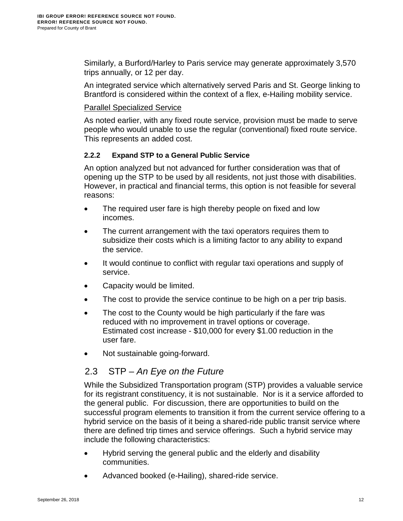Similarly, a Burford/Harley to Paris service may generate approximately 3,570 trips annually, or 12 per day.

An integrated service which alternatively served Paris and St. George linking to Brantford is considered within the context of a flex, e-Hailing mobility service.

#### Parallel Specialized Service

As noted earlier, with any fixed route service, provision must be made to serve people who would unable to use the regular (conventional) fixed route service. This represents an added cost.

## <span id="page-13-0"></span>**2.2.2 Expand STP to a General Public Service**

An option analyzed but not advanced for further consideration was that of opening up the STP to be used by all residents, not just those with disabilities. However, in practical and financial terms, this option is not feasible for several reasons:

- The required user fare is high thereby people on fixed and low incomes.
- The current arrangement with the taxi operators requires them to subsidize their costs which is a limiting factor to any ability to expand the service.
- It would continue to conflict with regular taxi operations and supply of service.
- Capacity would be limited.
- The cost to provide the service continue to be high on a per trip basis.
- The cost to the County would be high particularly if the fare was reduced with no improvement in travel options or coverage. Estimated cost increase - \$10,000 for every \$1.00 reduction in the user fare.
- Not sustainable going-forward.

# 2.3 STP – *An Eye on the Future*

While the Subsidized Transportation program (STP) provides a valuable service for its registrant constituency, it is not sustainable. Nor is it a service afforded to the general public. For discussion, there are opportunities to build on the successful program elements to transition it from the current service offering to a hybrid service on the basis of it being a shared-ride public transit service where there are defined trip times and service offerings. Such a hybrid service may include the following characteristics:

- Hybrid serving the general public and the elderly and disability communities.
- Advanced booked (e-Hailing), shared-ride service.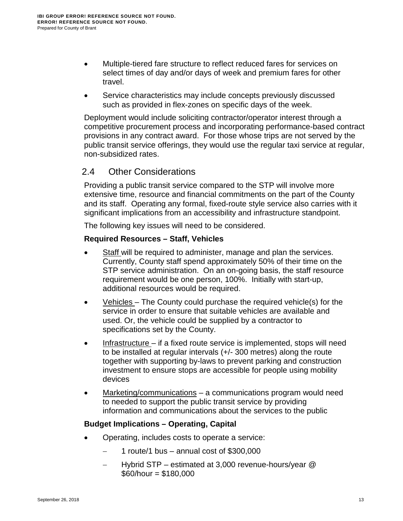- Multiple-tiered fare structure to reflect reduced fares for services on select times of day and/or days of week and premium fares for other travel.
- Service characteristics may include concepts previously discussed such as provided in flex-zones on specific days of the week.

Deployment would include soliciting contractor/operator interest through a competitive procurement process and incorporating performance-based contract provisions in any contract award. For those whose trips are not served by the public transit service offerings, they would use the regular taxi service at regular, non-subsidized rates.

# 2.4 Other Considerations

Providing a public transit service compared to the STP will involve more extensive time, resource and financial commitments on the part of the County and its staff. Operating any formal, fixed-route style service also carries with it significant implications from an accessibility and infrastructure standpoint.

The following key issues will need to be considered.

#### **Required Resources – Staff, Vehicles**

- Staff will be required to administer, manage and plan the services. Currently, County staff spend approximately 50% of their time on the STP service administration. On an on-going basis, the staff resource requirement would be one person, 100%. Initially with start-up, additional resources would be required.
- Vehicles The County could purchase the required vehicle(s) for the service in order to ensure that suitable vehicles are available and used. Or, the vehicle could be supplied by a contractor to specifications set by the County.
- Infrastructure if a fixed route service is implemented, stops will need to be installed at regular intervals (+/- 300 metres) along the route together with supporting by-laws to prevent parking and construction investment to ensure stops are accessible for people using mobility devices
- Marketing/communications a communications program would need to needed to support the public transit service by providing information and communications about the services to the public

#### **Budget Implications – Operating, Capital**

- Operating, includes costs to operate a service:
	- − 1 route/1 bus annual cost of \$300,000
	- − Hybrid STP estimated at 3,000 revenue-hours/year @ \$60/hour = \$180,000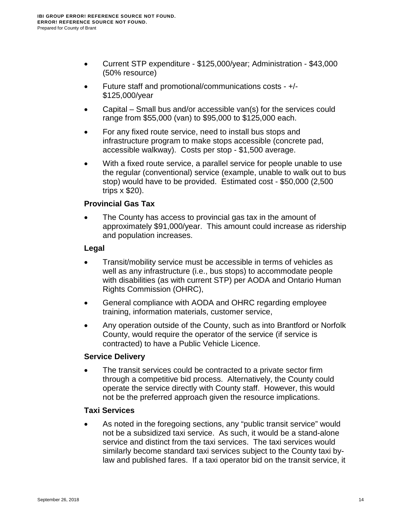- Current STP expenditure \$125,000/year; Administration \$43,000 (50% resource)
- Future staff and promotional/communications costs +/- \$125,000/year
- Capital Small bus and/or accessible van(s) for the services could range from \$55,000 (van) to \$95,000 to \$125,000 each.
- For any fixed route service, need to install bus stops and infrastructure program to make stops accessible (concrete pad, accessible walkway). Costs per stop - \$1,500 average.
- With a fixed route service, a parallel service for people unable to use the regular (conventional) service (example, unable to walk out to bus stop) would have to be provided. Estimated cost - \$50,000 (2,500 trips x \$20).

## **Provincial Gas Tax**

The County has access to provincial gas tax in the amount of approximately \$91,000/year. This amount could increase as ridership and population increases.

## **Legal**

- Transit/mobility service must be accessible in terms of vehicles as well as any infrastructure (i.e., bus stops) to accommodate people with disabilities (as with current STP) per AODA and Ontario Human Rights Commission (OHRC),
- General compliance with AODA and OHRC regarding employee training, information materials, customer service,
- Any operation outside of the County, such as into Brantford or Norfolk County, would require the operator of the service (if service is contracted) to have a Public Vehicle Licence.

## **Service Delivery**

The transit services could be contracted to a private sector firm through a competitive bid process. Alternatively, the County could operate the service directly with County staff. However, this would not be the preferred approach given the resource implications.

# **Taxi Services**

As noted in the foregoing sections, any "public transit service" would not be a subsidized taxi service. As such, it would be a stand-alone service and distinct from the taxi services. The taxi services would similarly become standard taxi services subject to the County taxi bylaw and published fares. If a taxi operator bid on the transit service, it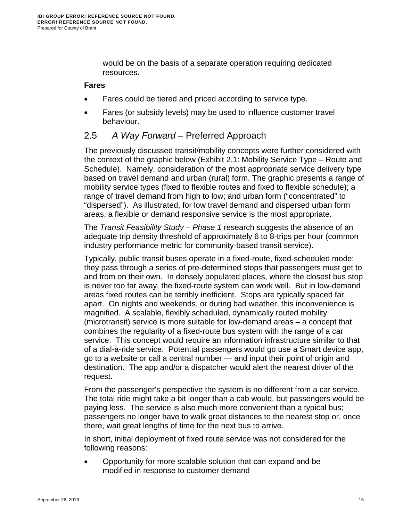would be on the basis of a separate operation requiring dedicated resources.

#### **Fares**

- Fares could be tiered and priced according to service type.
- Fares (or subsidy levels) may be used to influence customer travel behaviour.

# <span id="page-16-0"></span>2.5 *A Way Forward* – Preferred Approach

The previously discussed transit/mobility concepts were further considered with the context of the graphic below [\(Exhibit 2.1: Mobility Service Type – Route and](#page-17-1)  [Schedule\)](#page-17-1). Namely, consideration of the most appropriate service delivery type based on travel demand and urban (rural) form. The graphic presents a range of mobility service types (fixed to flexible routes and fixed to flexible schedule); a range of travel demand from high to low; and urban form ("concentrated" to "dispersed"). As illustrated, for low travel demand and dispersed urban form areas, a flexible or demand responsive service is the most appropriate.

The *Transit Feasibility Study – Phase 1* research suggests the absence of an adequate trip density threshold of approximately 6 to 8-trips per hour (common industry performance metric for community-based transit service).

Typically, public transit buses operate in a fixed-route, fixed-scheduled mode: they pass through a series of pre-determined stops that passengers must get to and from on their own. In densely populated places, where the closest bus stop is never too far away, the fixed-route system can work well. But in low-demand areas fixed routes can be terribly inefficient. Stops are typically spaced far apart. On nights and weekends, or during bad weather, this inconvenience is magnified. A scalable, flexibly scheduled, dynamically routed mobility (microtransit) service is more suitable for low-demand areas – a concept that combines the regularity of a fixed-route bus system with the range of a car service. This concept would require an information infrastructure similar to that of a dial-a-ride service. Potential passengers would go use a Smart device app, go to a website or call a central number — and input their point of origin and destination. The app and/or a dispatcher would alert the nearest driver of the request.

From the passenger's perspective the system is no different from a car service. The total ride might take a bit longer than a cab would, but passengers would be paying less. The service is also much more convenient than a typical bus; passengers no longer have to walk great distances to the nearest stop or, once there, wait great lengths of time for the next bus to arrive.

In short, initial deployment of fixed route service was not considered for the following reasons:

• Opportunity for more scalable solution that can expand and be modified in response to customer demand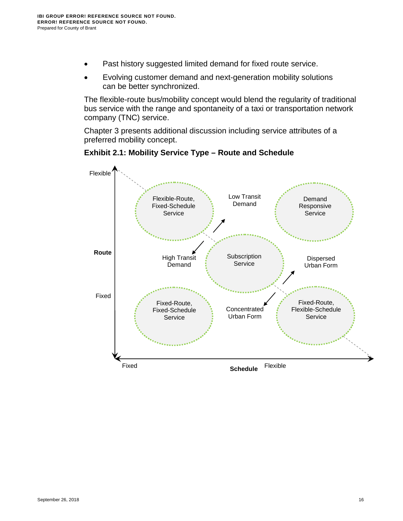- Past history suggested limited demand for fixed route service.
- Evolving customer demand and next-generation mobility solutions can be better synchronized.

The flexible-route bus/mobility concept would blend the regularity of traditional bus service with the range and spontaneity of a taxi or transportation network company (TNC) service.

Chapter 3 presents additional discussion including service attributes of a preferred mobility concept.

<span id="page-17-1"></span><span id="page-17-0"></span>

#### **Exhibit 2.1: Mobility Service Type – Route and Schedule**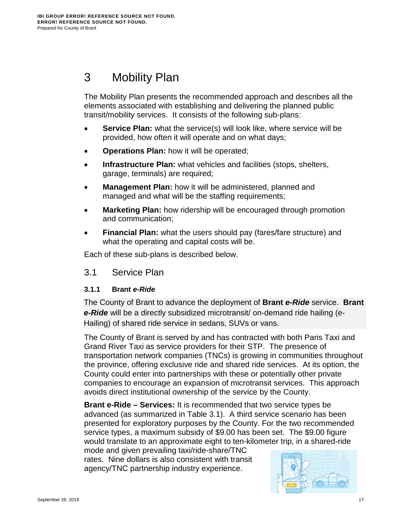# <span id="page-18-0"></span>3 Mobility Plan

The Mobility Plan presents the recommended approach and describes all the elements associated with establishing and delivering the planned public transit/mobility services. It consists of the following sub-plans:

- **Service Plan:** what the service(s) will look like, where service will be provided, how often it will operate and on what days;
- **Operations Plan:** how it will be operated;
- **Infrastructure Plan:** what vehicles and facilities (stops, shelters, garage, terminals) are required;
- **Management Plan:** how it will be administered, planned and managed and what will be the staffing requirements;
- **Marketing Plan:** how ridership will be encouraged through promotion and communication;
- **Financial Plan:** what the users should pay (fares/fare structure) and what the operating and capital costs will be.

Each of these sub-plans is described below.

<span id="page-18-1"></span>3.1 Service Plan

## <span id="page-18-2"></span>**3.1.1 Brant** *e-Ride*

The County of Brant to advance the deployment of **Brant** *e-Ride* service. **Brant**  *e-Ride* will be a directly subsidized microtransit/ on-demand ride hailing (e-Hailing) of shared ride service in sedans, SUVs or vans.

The County of Brant is served by and has contracted with both Paris Taxi and Grand River Taxi as service providers for their STP. The presence of transportation network companies (TNCs) is growing in communities throughout the province, offering exclusive ride and shared ride services. At its option, the County could enter into partnerships with these or potentially other private companies to encourage an expansion of microtransit services. This approach avoids direct institutional ownership of the service by the County.

**Brant e-Ride – Services:** It is recommended that two service types be advanced (as summarized in Table 3.1). A third service scenario has been presented for exploratory purposes by the County. For the two recommended service types, a maximum subsidy of \$9.00 has been set. The \$9.00 figure would translate to an approximate eight to ten-kilometer trip, in a shared-ride

mode and given prevailing taxi/ride-share/TNC rates. Nine dollars is also consistent with transit agency/TNC partnership industry experience.

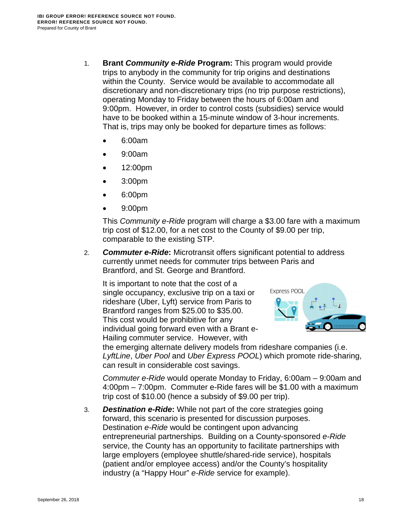- 1. **Brant** *Community e-Ride* **Program:** This program would provide trips to anybody in the community for trip origins and destinations within the County. Service would be available to accommodate all discretionary and non-discretionary trips (no trip purpose restrictions), operating Monday to Friday between the hours of 6:00am and 9:00pm. However, in order to control costs (subsidies) service would have to be booked within a 15-minute window of 3-hour increments. That is, trips may only be booked for departure times as follows:
	- 6:00am
	- 9:00am
	- 12:00pm
	- 3:00pm
	- 6:00pm
	- 9:00pm

This *Community e-Ride* program will charge a \$3.00 fare with a maximum trip cost of \$12.00, for a net cost to the County of \$9.00 per trip, comparable to the existing STP.

2. *Commuter e-Ride***:** Microtransit offers significant potential to address currently unmet needs for commuter trips between Paris and Brantford, and St. George and Brantford.

It is important to note that the cost of a single occupancy, exclusive trip on a taxi or rideshare (Uber, Lyft) service from Paris to Brantford ranges from \$25.00 to \$35.00. This cost would be prohibitive for any individual going forward even with a Brant e-Hailing commuter service. However, with



the emerging alternate delivery models from rideshare companies (i.e. *LyftLine*, *Uber Pool* and *Uber Express POOL*) which promote ride-sharing, can result in considerable cost savings.

*Commuter e-Ride* would operate Monday to Friday, 6:00am – 9:00am and 4:00pm – 7:00pm. Commuter e-Ride fares will be \$1.00 with a maximum trip cost of \$10.00 (hence a subsidy of \$9.00 per trip).

3. *Destination e-Ride***:** While not part of the core strategies going forward, this scenario is presented for discussion purposes. Destination *e-Ride* would be contingent upon advancing entrepreneurial partnerships. Building on a County-sponsored *e-Ride* service, the County has an opportunity to facilitate partnerships with large employers (employee shuttle/shared-ride service), hospitals (patient and/or employee access) and/or the County's hospitality industry (a "Happy Hour" *e-Ride* service for example).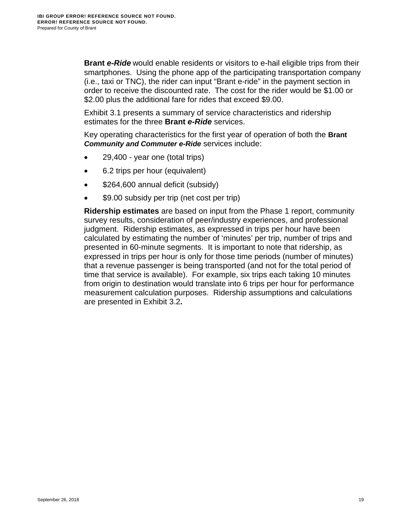**Brant** *e-Ride* would enable residents or visitors to e-hail eligible trips from their smartphones. Using the phone app of the participating transportation company (i.e., taxi or TNC), the rider can input "Brant e-ride" in the payment section in order to receive the discounted rate. The cost for the rider would be \$1.00 or \$2.00 plus the additional fare for rides that exceed \$9.00.

[Exhibit 3.1](#page-21-1) presents a summary of service characteristics and ridership estimates for the three **Brant** *e-Ride* services.

Key operating characteristics for the first year of operation of both the **Brant**  *Community and Commuter e-Ride* services include:

- 29,400 year one (total trips)
- 6.2 trips per hour (equivalent)
- \$264,600 annual deficit (subsidy)
- \$9.00 subsidy per trip (net cost per trip)

**Ridership estimates** are based on input from the Phase 1 report, community survey results, consideration of peer/industry experiences, and professional judgment. Ridership estimates, as expressed in trips per hour have been calculated by estimating the number of 'minutes' per trip, number of trips and presented in 60-minute segments. It is important to note that ridership, as expressed in trips per hour is only for those time periods (number of minutes) that a revenue passenger is being transported (and not for the total period of time that service is available). For example, six trips each taking 10 minutes from origin to destination would translate into 6 trips per hour for performance measurement calculation purposes. Ridership assumptions and calculations are presented in [Exhibit 3.2](#page-22-2)**.**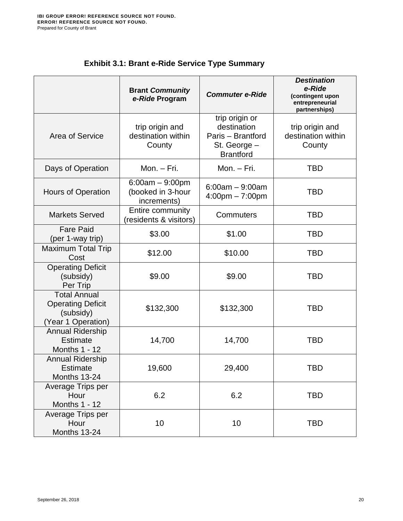<span id="page-21-1"></span><span id="page-21-0"></span>

|                                                                                    | <b>Brant Community</b><br>e-Ride Program              | <b>Commuter e-Ride</b>                                                                 | <b>Destination</b><br>e-Ride<br>(contingent upon<br>entrepreneurial<br>partnerships) |
|------------------------------------------------------------------------------------|-------------------------------------------------------|----------------------------------------------------------------------------------------|--------------------------------------------------------------------------------------|
| Area of Service                                                                    | trip origin and<br>destination within<br>County       | trip origin or<br>destination<br>Paris - Brantford<br>St. George -<br><b>Brantford</b> | trip origin and<br>destination within<br>County                                      |
| Days of Operation                                                                  | Mon. $-$ Fri.                                         | Mon. - Fri.                                                                            | TBD                                                                                  |
| <b>Hours of Operation</b>                                                          | $6:00am - 9:00pm$<br>(booked in 3-hour<br>increments) | $6:00am - 9:00am$<br>$4:00 \text{pm} - 7:00 \text{pm}$                                 | TBD                                                                                  |
| <b>Markets Served</b>                                                              | Entire community<br>(residents & visitors)            | Commuters                                                                              | TBD                                                                                  |
| <b>Fare Paid</b><br>(per 1-way trip)                                               | \$3.00                                                | \$1.00                                                                                 | <b>TBD</b>                                                                           |
| Maximum Total Trip<br>Cost                                                         | \$12.00                                               | \$10.00                                                                                | TBD                                                                                  |
| <b>Operating Deficit</b><br>(subsidy)<br>Per Trip                                  | \$9.00                                                | \$9.00                                                                                 | <b>TBD</b>                                                                           |
| <b>Total Annual</b><br><b>Operating Deficit</b><br>(subsidy)<br>(Year 1 Operation) | \$132,300                                             | \$132,300                                                                              | <b>TBD</b>                                                                           |
| <b>Annual Ridership</b><br><b>Estimate</b><br><b>Months 1 - 12</b>                 | 14,700                                                | 14,700                                                                                 | <b>TBD</b>                                                                           |
| <b>Annual Ridership</b><br>Estimate<br>Months 13-24                                | 19,600                                                | 29,400                                                                                 | TBD                                                                                  |
| Average Trips per<br>Hour<br>Months 1 - 12                                         | 6.2                                                   | 6.2                                                                                    | <b>TBD</b>                                                                           |
| Average Trips per<br>Hour<br>Months 13-24                                          | 10                                                    | 10                                                                                     | <b>TBD</b>                                                                           |

# **Exhibit 3.1: Brant e-Ride Service Type Summary**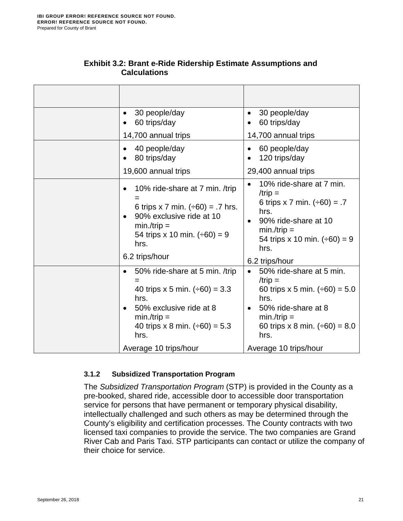<span id="page-22-2"></span><span id="page-22-1"></span>

| 30 people/day<br>٠<br>60 trips/day                                                                                                                                       | 30 people/day<br>$\bullet$<br>60 trips/day                                                                                                                                  |
|--------------------------------------------------------------------------------------------------------------------------------------------------------------------------|-----------------------------------------------------------------------------------------------------------------------------------------------------------------------------|
| 14,700 annual trips                                                                                                                                                      | 14,700 annual trips                                                                                                                                                         |
| 40 people/day<br>80 trips/day                                                                                                                                            | 60 people/day<br>120 trips/day                                                                                                                                              |
| 19,600 annual trips                                                                                                                                                      | 29,400 annual trips                                                                                                                                                         |
| 10% ride-share at 7 min. /trip<br>6 trips x 7 min. $(+60) = .7$ hrs.<br>90% exclusive ride at 10<br>$min./trip =$<br>54 trips x 10 min. $(\div 60) = 9$<br>hrs.          | 10% ride-share at 7 min.<br>/trip $=$<br>6 trips x 7 min. $(\div 60) = .7$<br>hrs.<br>90% ride-share at 10<br>$min./trip =$<br>54 trips x 10 min. $(\div 60) = 9$<br>hrs.   |
| 6.2 trips/hour                                                                                                                                                           | 6.2 trips/hour                                                                                                                                                              |
| 50% ride-share at 5 min. /trip<br>40 trips x 5 min. $(\div 60) = 3.3$<br>hrs.<br>50% exclusive ride at 8<br>$min./trip =$<br>40 trips x 8 min. $(\div 60) = 5.3$<br>hrs. | 50% ride-share at 5 min.<br>/trip $=$<br>60 trips x 5 min. $(\div 60) = 5.0$<br>hrs.<br>50% ride-share at 8<br>$min./trip =$<br>60 trips x 8 min. $(\div 60) = 8.0$<br>hrs. |
| Average 10 trips/hour                                                                                                                                                    | Average 10 trips/hour                                                                                                                                                       |

#### **Exhibit 3.2: Brant e-Ride Ridership Estimate Assumptions and Calculations**

#### <span id="page-22-0"></span>**3.1.2 Subsidized Transportation Program**

The *Subsidized Transportation Program* (STP) is provided in the County as a pre-booked, shared ride, accessible door to accessible door transportation service for persons that have permanent or temporary physical disability, intellectually challenged and such others as may be determined through the County's eligibility and certification processes. The County contracts with two licensed taxi companies to provide the service. The two companies are Grand River Cab and Paris Taxi. STP participants can contact or utilize the company of their choice for service.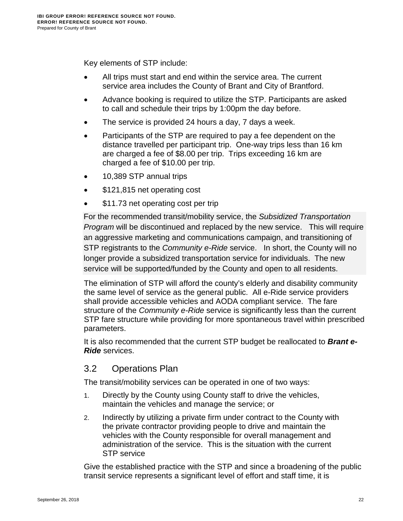Key elements of STP include:

- All trips must start and end within the service area. The current service area includes the County of Brant and City of Brantford.
- Advance booking is required to utilize the STP. Participants are asked to call and schedule their trips by 1:00pm the day before.
- The service is provided 24 hours a day, 7 days a week.
- Participants of the STP are required to pay a fee dependent on the distance travelled per participant trip. One-way trips less than 16 km are charged a fee of \$8.00 per trip. Trips exceeding 16 km are charged a fee of \$10.00 per trip.
- 10,389 STP annual trips
- \$121,815 net operating cost
- \$11.73 net operating cost per trip

For the recommended transit/mobility service, the *Subsidized Transportation Program* will be discontinued and replaced by the new service. This will require an aggressive marketing and communications campaign, and transitioning of STP registrants to the *Community e-Ride* service. In short, the County will no longer provide a subsidized transportation service for individuals. The new service will be supported/funded by the County and open to all residents.

The elimination of STP will afford the county's elderly and disability community the same level of service as the general public. All e-Ride service providers shall provide accessible vehicles and AODA compliant service. The fare structure of the *Community e-Ride* service is significantly less than the current STP fare structure while providing for more spontaneous travel within prescribed parameters.

It is also recommended that the current STP budget be reallocated to *Brant e-Ride* services.

# <span id="page-23-0"></span>3.2 Operations Plan

The transit/mobility services can be operated in one of two ways:

- 1. Directly by the County using County staff to drive the vehicles, maintain the vehicles and manage the service; or
- 2. Indirectly by utilizing a private firm under contract to the County with the private contractor providing people to drive and maintain the vehicles with the County responsible for overall management and administration of the service. This is the situation with the current STP service

Give the established practice with the STP and since a broadening of the public transit service represents a significant level of effort and staff time, it is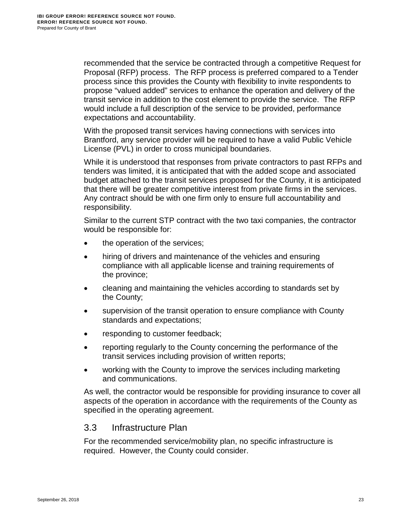recommended that the service be contracted through a competitive Request for Proposal (RFP) process. The RFP process is preferred compared to a Tender process since this provides the County with flexibility to invite respondents to propose "valued added" services to enhance the operation and delivery of the transit service in addition to the cost element to provide the service. The RFP would include a full description of the service to be provided, performance expectations and accountability.

With the proposed transit services having connections with services into Brantford, any service provider will be required to have a valid Public Vehicle License (PVL) in order to cross municipal boundaries.

While it is understood that responses from private contractors to past RFPs and tenders was limited, it is anticipated that with the added scope and associated budget attached to the transit services proposed for the County, it is anticipated that there will be greater competitive interest from private firms in the services. Any contract should be with one firm only to ensure full accountability and responsibility.

Similar to the current STP contract with the two taxi companies, the contractor would be responsible for:

- the operation of the services;
- hiring of drivers and maintenance of the vehicles and ensuring compliance with all applicable license and training requirements of the province;
- cleaning and maintaining the vehicles according to standards set by the County;
- supervision of the transit operation to ensure compliance with County standards and expectations;
- responding to customer feedback;
- reporting regularly to the County concerning the performance of the transit services including provision of written reports;
- working with the County to improve the services including marketing and communications.

As well, the contractor would be responsible for providing insurance to cover all aspects of the operation in accordance with the requirements of the County as specified in the operating agreement.

# <span id="page-24-0"></span>3.3 Infrastructure Plan

For the recommended service/mobility plan, no specific infrastructure is required. However, the County could consider.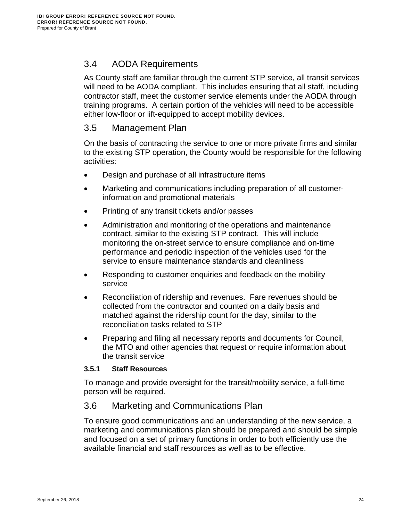# <span id="page-25-0"></span>3.4 AODA Requirements

As County staff are familiar through the current STP service, all transit services will need to be AODA compliant. This includes ensuring that all staff, including contractor staff, meet the customer service elements under the AODA through training programs. A certain portion of the vehicles will need to be accessible either low-floor or lift-equipped to accept mobility devices.

# <span id="page-25-1"></span>3.5 Management Plan

On the basis of contracting the service to one or more private firms and similar to the existing STP operation, the County would be responsible for the following activities:

- Design and purchase of all infrastructure items
- Marketing and communications including preparation of all customerinformation and promotional materials
- Printing of any transit tickets and/or passes
- Administration and monitoring of the operations and maintenance contract, similar to the existing STP contract. This will include monitoring the on-street service to ensure compliance and on-time performance and periodic inspection of the vehicles used for the service to ensure maintenance standards and cleanliness
- Responding to customer enquiries and feedback on the mobility service
- Reconciliation of ridership and revenues. Fare revenues should be collected from the contractor and counted on a daily basis and matched against the ridership count for the day, similar to the reconciliation tasks related to STP
- Preparing and filing all necessary reports and documents for Council, the MTO and other agencies that request or require information about the transit service

#### <span id="page-25-2"></span>**3.5.1 Staff Resources**

To manage and provide oversight for the transit/mobility service, a full-time person will be required.

# <span id="page-25-3"></span>3.6 Marketing and Communications Plan

To ensure good communications and an understanding of the new service, a marketing and communications plan should be prepared and should be simple and focused on a set of primary functions in order to both efficiently use the available financial and staff resources as well as to be effective.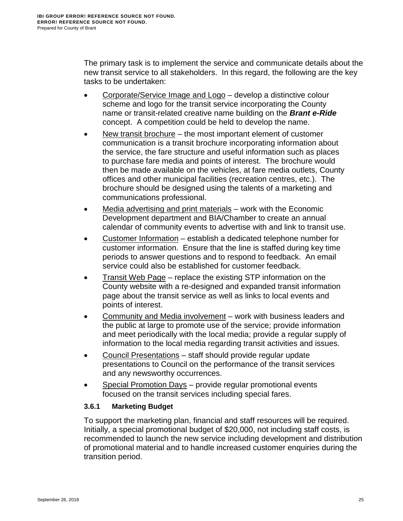The primary task is to implement the service and communicate details about the new transit service to all stakeholders. In this regard, the following are the key tasks to be undertaken:

- Corporate/Service Image and Logo develop a distinctive colour scheme and logo for the transit service incorporating the County name or transit-related creative name building on the *Brant e-Ride* concept. A competition could be held to develop the name.
- New transit brochure the most important element of customer communication is a transit brochure incorporating information about the service, the fare structure and useful information such as places to purchase fare media and points of interest. The brochure would then be made available on the vehicles, at fare media outlets, County offices and other municipal facilities (recreation centres, etc.). The brochure should be designed using the talents of a marketing and communications professional.
- Media advertising and print materials work with the Economic Development department and BIA/Chamber to create an annual calendar of community events to advertise with and link to transit use.
- Customer Information establish a dedicated telephone number for customer information. Ensure that the line is staffed during key time periods to answer questions and to respond to feedback. An email service could also be established for customer feedback.
- **Transit Web Page replace the existing STP information on the** County website with a re-designed and expanded transit information page about the transit service as well as links to local events and points of interest.
- Community and Media involvement work with business leaders and the public at large to promote use of the service; provide information and meet periodically with the local media; provide a regular supply of information to the local media regarding transit activities and issues.
- Council Presentations staff should provide regular update presentations to Council on the performance of the transit services and any newsworthy occurrences.
- Special Promotion Days provide regular promotional events focused on the transit services including special fares.

## <span id="page-26-0"></span>**3.6.1 Marketing Budget**

To support the marketing plan, financial and staff resources will be required. Initially, a special promotional budget of \$20,000, not including staff costs, is recommended to launch the new service including development and distribution of promotional material and to handle increased customer enquiries during the transition period.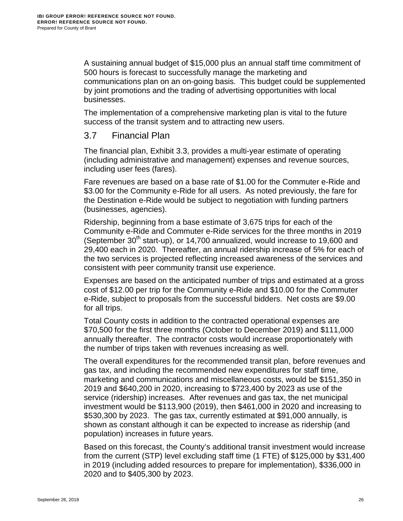A sustaining annual budget of \$15,000 plus an annual staff time commitment of 500 hours is forecast to successfully manage the marketing and communications plan on an on-going basis. This budget could be supplemented by joint promotions and the trading of advertising opportunities with local businesses.

The implementation of a comprehensive marketing plan is vital to the future success of the transit system and to attracting new users.

# <span id="page-27-0"></span>3.7 Financial Plan

The financial plan, [Exhibit 3.3,](#page-29-1) provides a multi-year estimate of operating (including administrative and management) expenses and revenue sources, including user fees (fares).

Fare revenues are based on a base rate of \$1.00 for the Commuter e-Ride and \$3.00 for the Community e-Ride for all users. As noted previously, the fare for the Destination e-Ride would be subject to negotiation with funding partners (businesses, agencies).

Ridership, beginning from a base estimate of 3,675 trips for each of the Community e-Ride and Commuter e-Ride services for the three months in 2019 (September  $30<sup>th</sup>$  start-up), or 14,700 annualized, would increase to 19,600 and 29,400 each in 2020. Thereafter, an annual ridership increase of 5% for each of the two services is projected reflecting increased awareness of the services and consistent with peer community transit use experience.

Expenses are based on the anticipated number of trips and estimated at a gross cost of \$12.00 per trip for the Community e-Ride and \$10.00 for the Commuter e-Ride, subject to proposals from the successful bidders. Net costs are \$9.00 for all trips.

Total County costs in addition to the contracted operational expenses are \$70,500 for the first three months (October to December 2019) and \$111,000 annually thereafter. The contractor costs would increase proportionately with the number of trips taken with revenues increasing as well.

The overall expenditures for the recommended transit plan, before revenues and gas tax, and including the recommended new expenditures for staff time, marketing and communications and miscellaneous costs, would be \$151,350 in 2019 and \$640,200 in 2020, increasing to \$723,400 by 2023 as use of the service (ridership) increases. After revenues and gas tax, the net municipal investment would be \$113,900 (2019), then \$461,000 in 2020 and increasing to \$530,300 by 2023. The gas tax, currently estimated at \$91,000 annually, is shown as constant although it can be expected to increase as ridership (and population) increases in future years.

Based on this forecast, the County's additional transit investment would increase from the current (STP) level excluding staff time (1 FTE) of \$125,000 by \$31,400 in 2019 (including added resources to prepare for implementation), \$336,000 in 2020 and to \$405,300 by 2023.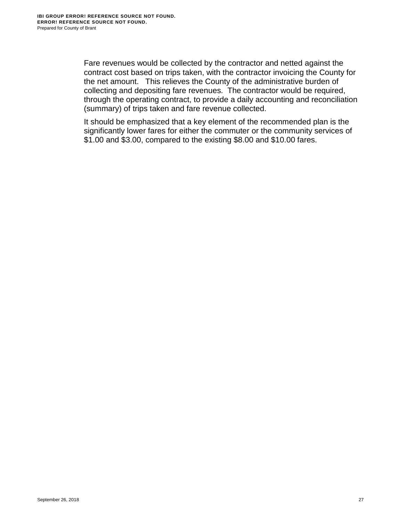Fare revenues would be collected by the contractor and netted against the contract cost based on trips taken, with the contractor invoicing the County for the net amount. This relieves the County of the administrative burden of collecting and depositing fare revenues. The contractor would be required, through the operating contract, to provide a daily accounting and reconciliation (summary) of trips taken and fare revenue collected.

It should be emphasized that a key element of the recommended plan is the significantly lower fares for either the commuter or the community services of \$1.00 and \$3.00, compared to the existing \$8.00 and \$10.00 fares.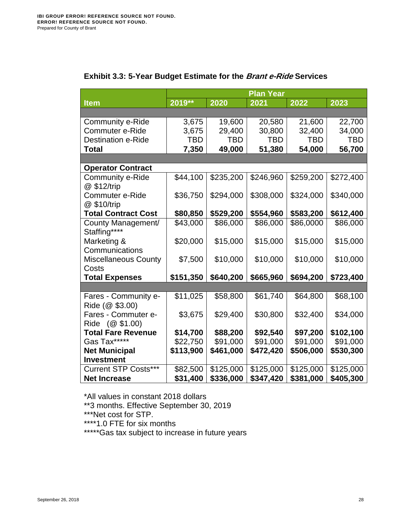<span id="page-29-1"></span><span id="page-29-0"></span>

|                             | <b>Plan Year</b> |            |            |            |            |
|-----------------------------|------------------|------------|------------|------------|------------|
| <b>Item</b>                 | 2019**           | 2020       | 2021       | 2022       | 2023       |
|                             |                  |            |            |            |            |
| Community e-Ride            | 3,675            | 19,600     | 20,580     | 21,600     | 22,700     |
| Commuter e-Ride             | 3,675            | 29,400     | 30,800     | 32,400     | 34,000     |
| <b>Destination e-Ride</b>   | <b>TBD</b>       | <b>TBD</b> | <b>TBD</b> | <b>TBD</b> | <b>TBD</b> |
| <b>Total</b>                | 7,350            | 49,000     | 51,380     | 54,000     | 56,700     |
|                             |                  |            |            |            |            |
| <b>Operator Contract</b>    |                  |            |            |            |            |
| Community e-Ride            | \$44,100         | \$235,200  | \$246,960  | \$259,200  | \$272,400  |
| @ \$12/trip                 |                  |            |            |            |            |
| Commuter e-Ride             | \$36,750         | \$294,000  | \$308,000  | \$324,000  | \$340,000  |
| @ \$10/trip                 |                  |            |            |            |            |
| <b>Total Contract Cost</b>  | \$80,850         | \$529,200  | \$554,960  | \$583,200  | \$612,400  |
| County Management/          | \$43,000         | \$86,000   | \$86,000   | \$86,0000  | \$86,000   |
| Staffing****                |                  |            |            |            |            |
| Marketing &                 | \$20,000         | \$15,000   | \$15,000   | \$15,000   | \$15,000   |
| Communications              |                  |            |            |            |            |
| <b>Miscellaneous County</b> | \$7,500          | \$10,000   | \$10,000   | \$10,000   | \$10,000   |
| Costs                       |                  |            |            |            |            |
| <b>Total Expenses</b>       | \$151,350        | \$640,200  | \$665,960  | \$694,200  | \$723,400  |
|                             |                  |            |            |            |            |
| Fares - Community e-        | \$11,025         | \$58,800   | \$61,740   | \$64,800   | \$68,100   |
| Ride (@ \$3.00)             |                  |            |            |            |            |
| Fares - Commuter e-         | \$3,675          | \$29,400   | \$30,800   | \$32,400   | \$34,000   |
| Ride (@ \$1.00)             |                  |            |            |            |            |
| <b>Total Fare Revenue</b>   | \$14,700         | \$88,200   | \$92,540   | \$97,200   | \$102,100  |
| Gas Tax*****                | \$22,750         | \$91,000   | \$91,000   | \$91,000   | \$91,000   |
| <b>Net Municipal</b>        | \$113,900        | \$461,000  | \$472,420  | \$506,000  | \$530,300  |
| <b>Investment</b>           |                  |            |            |            |            |
| <b>Current STP Costs***</b> | \$82,500         | \$125,000  | \$125,000  | \$125,000  | \$125,000  |
| <b>Net Increase</b>         | \$31,400         | \$336,000  | \$347,420  | \$381,000  | \$405,300  |

# **Exhibit 3.3: 5-Year Budget Estimate for the Brant e-Ride Services**

\*All values in constant 2018 dollars

\*\*3 months. Effective September 30, 2019

\*\*\*Net cost for STP.

\*\*\*\*1.0 FTE for six months

\*\*\*\*\*Gas tax subject to increase in future years